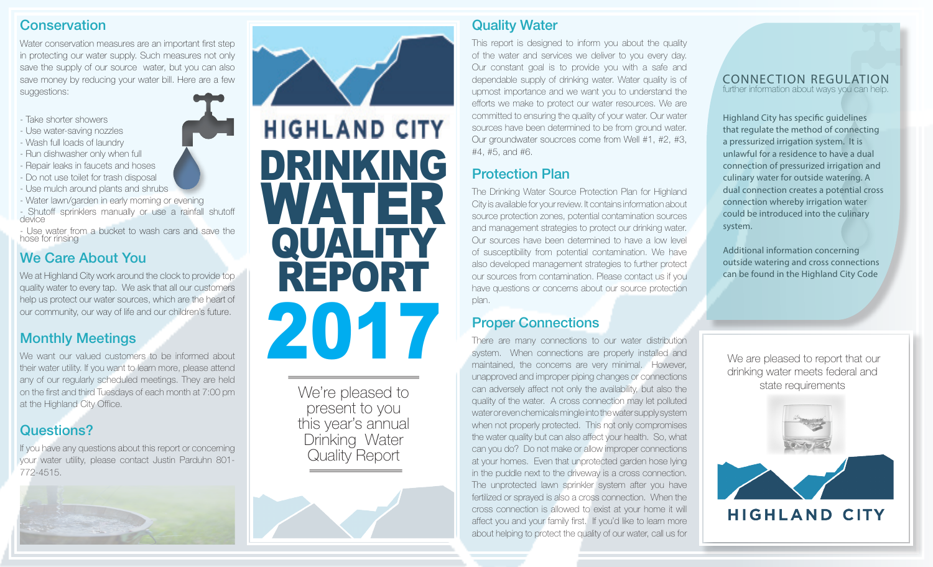#### **Conservation**

Water conservation measures are an important first step in protecting our water supply. Such measures not only save the supply of our source water, but you can also save money by reducing your water bill. Here are a few suggestions:

- Take shorter showers
- Use water-saving nozzles
- Wash full loads of laundry
- Run dishwasher only when full
- Repair leaks in faucets and hoses
- Do not use toilet for trash disposal
- Use mulch around plants and shrubs
- Water lawn/garden in early morning or evening

- Shutoff sprinklers manually or use a rainfall shutoff device

- Use water from a bucket to wash cars and save the hose for rinsing

## We Care About You

We at Highland City work around the clock to provide top quality water to every tap. We ask that all our customers help us protect our water sources, which are the heart of our community, our way of life and our children's future.

#### Monthly Meetings

We want our valued customers to be informed about their water utility. If you want to learn more, please attend any of our regularly scheduled meetings. They are held on the first and third Tuesdays of each month at 7:00 pm at the Highland City Office.

### Questions?

If you have any questions about this report or concerning your water utility, please contact Justin Parduhn 801- 772-4515.





We're pleased to<br>present to you this year's annual Drinking Water Quality Report

## Quality Water

This report is designed to inform you about the quality of the water and services we deliver to you every day. Our constant goal is to provide you with a safe and dependable supply of drinking water. Water quality is of upmost importance and we want you to understand the efforts we make to protect our water resources. We are committed to ensuring the quality of your water. Our water sources have been determined to be from ground water. Our groundwater soucrces come from Well #1, #2, #3, #4, #5, and #6.

# Protection Plan

The Drinking Water Source Protection Plan for Highland City is available for your review. It contains information about source protection zones, potential contamination sources and management strategies to protect our drinking water. Our sources have been determined to have a low level of susceptibility from potential contamination. We have also developed management strategies to further protect our sources from contamination. Please contact us if you have questions or concerns about our source protection plan.

### Proper Connections

There are many connections to our water distribution system. When connections are properly installed and maintained, the concerns are very minimal. However, unapproved and improper piping changes or connections We're pleased to can adversely affect not only the availability, but also the state requirements only the state requirements quality of the water. A cross connection may let polluted water or even chemicals mingle into the water supply system when not properly protected. This not only compromises the water quality but can also affect your health. So, what can you do? Do not make or allow improper connections at your homes. Even that unprotected garden hose lying in the puddle next to the driveway is a cross connection. The unprotected lawn sprinkler system after you have fertilized or sprayed is also a cross connection. When the cross connection is allowed to exist at your home it will affect you and your family first. If you'd like to learn more about helping to protect the quality of our water, call us for

#### further information about ways you can help. CONNECTION REGULATION

Highland City has specific guidelines that regulate the method of connecting a pressurized irrigation system. It is unlawful for a residence to have a dual connection of pressurized irrigation and culinary water for outside watering. A dual connection creates a potential cross connection whereby irrigation water could be introduced into the culinary system.

Additional information concerning outside watering and cross connections can be found in the Highland City Code

 We are pleased to report that our drinking water meets federal and